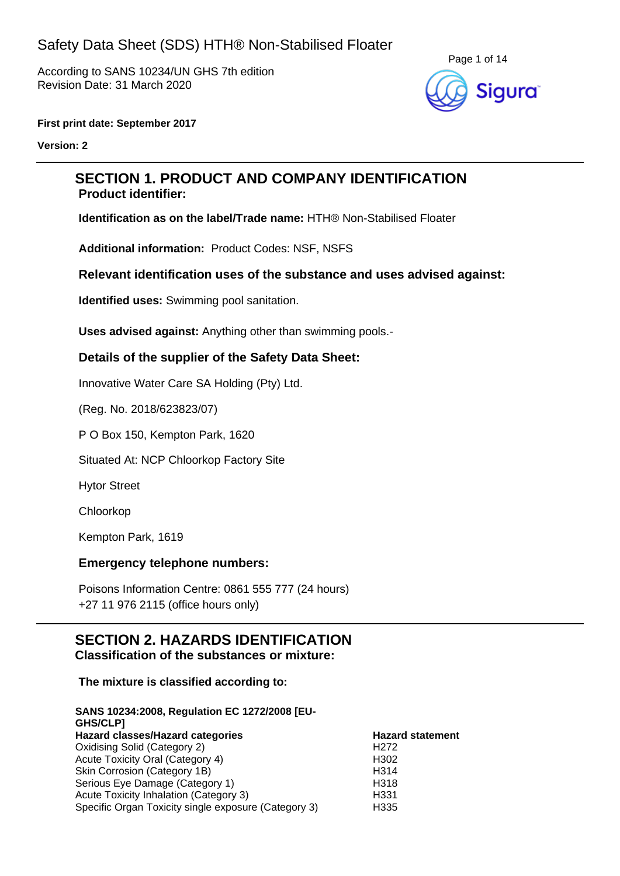According to SANS 10234/UN GHS 7th edition Revision Date: 31 March 2020



#### **First print date: September 2017**

**Version: 2**

## **SECTION 1. PRODUCT AND COMPANY IDENTIFICATION Product identifier:**

**Identification as on the label/Trade name:** HTH® Non-Stabilised Floater

**Additional information:** Product Codes: NSF, NSFS

### **Relevant identification uses of the substance and uses advised against:**

**Identified uses:** Swimming pool sanitation.

**Uses advised against:** Anything other than swimming pools.-

### **Details of the supplier of the Safety Data Sheet:**

Innovative Water Care SA Holding (Pty) Ltd.

(Reg. No. 2018/623823/07)

P O Box 150, Kempton Park, 1620

Situated At: NCP Chloorkop Factory Site

Hytor Street

Chloorkop

Kempton Park, 1619

#### **Emergency telephone numbers:**

Poisons Information Centre: 0861 555 777 (24 hours) +27 11 976 2115 (office hours only)

### **SECTION 2. HAZARDS IDENTIFICATION Classification of the substances or mixture:**

#### **The mixture is classified according to:**

| SANS 10234:2008, Regulation EC 1272/2008 [EU-<br>GHS/CLP] |                         |
|-----------------------------------------------------------|-------------------------|
| Hazard classes/Hazard categories                          | <b>Hazard statement</b> |
| Oxidising Solid (Category 2)                              | H <sub>272</sub>        |
| Acute Toxicity Oral (Category 4)                          | H <sub>302</sub>        |
| Skin Corrosion (Category 1B)                              | H314                    |
| Serious Eye Damage (Category 1)                           | H318                    |
| Acute Toxicity Inhalation (Category 3)                    | H <sub>331</sub>        |
| Specific Organ Toxicity single exposure (Category 3)      | H335                    |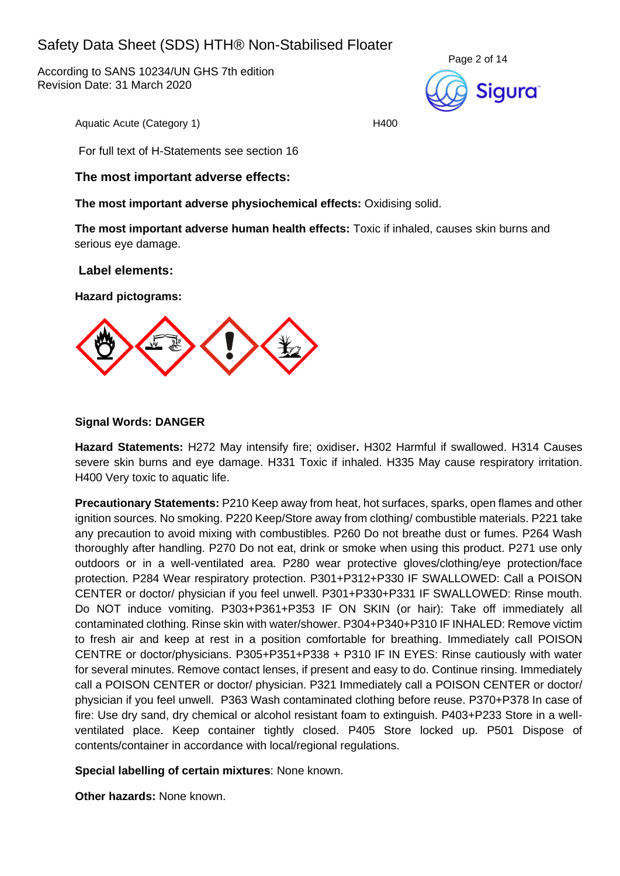According to SANS 10234/UN GHS 7th edition Revision Date: 31 March 2020



Aquatic Acute (Category 1) H400

For full text of H-Statements see section 16

### **The most important adverse effects:**

**The most important adverse physiochemical effects:** Oxidising solid.

**The most important adverse human health effects:** Toxic if inhaled, causes skin burns and serious eye damage.

### **Label elements:**

**Hazard pictograms:**



### **Signal Words: DANGER**

**Hazard Statements:** H272 May intensify fire; oxidiser**.** H302 Harmful if swallowed. H314 Causes severe skin burns and eye damage. H331 Toxic if inhaled. H335 May cause respiratory irritation. H400 Very toxic to aquatic life.

**Precautionary Statements:** P210 Keep away from heat, hot surfaces, sparks, open flames and other ignition sources. No smoking. P220 Keep/Store away from clothing/ combustible materials. P221 take any precaution to avoid mixing with combustibles. P260 Do not breathe dust or fumes. P264 Wash thoroughly after handling. P270 Do not eat, drink or smoke when using this product. P271 use only outdoors or in a well-ventilated area. P280 wear protective gloves/clothing/eye protection/face protection. P284 Wear respiratory protection. P301+P312+P330 IF SWALLOWED: Call a POISON CENTER or doctor/ physician if you feel unwell. P301+P330+P331 IF SWALLOWED: Rinse mouth. Do NOT induce vomiting. P303+P361+P353 IF ON SKIN (or hair): Take off immediately all contaminated clothing. Rinse skin with water/shower. P304+P340+P310 IF INHALED: Remove victim to fresh air and keep at rest in a position comfortable for breathing. Immediately call POISON CENTRE or doctor/physicians. P305+P351+P338 + P310 IF IN EYES: Rinse cautiously with water for several minutes. Remove contact lenses, if present and easy to do. Continue rinsing. Immediately call a POISON CENTER or doctor/ physician. P321 Immediately call a POISON CENTER or doctor/ physician if you feel unwell. P363 Wash contaminated clothing before reuse. P370+P378 In case of fire: Use dry sand, dry chemical or alcohol resistant foam to extinguish. P403+P233 Store in a wellventilated place. Keep container tightly closed. P405 Store locked up. P501 Dispose of contents/container in accordance with local/regional regulations.

**Special labelling of certain mixtures**: None known.

**Other hazards:** None known.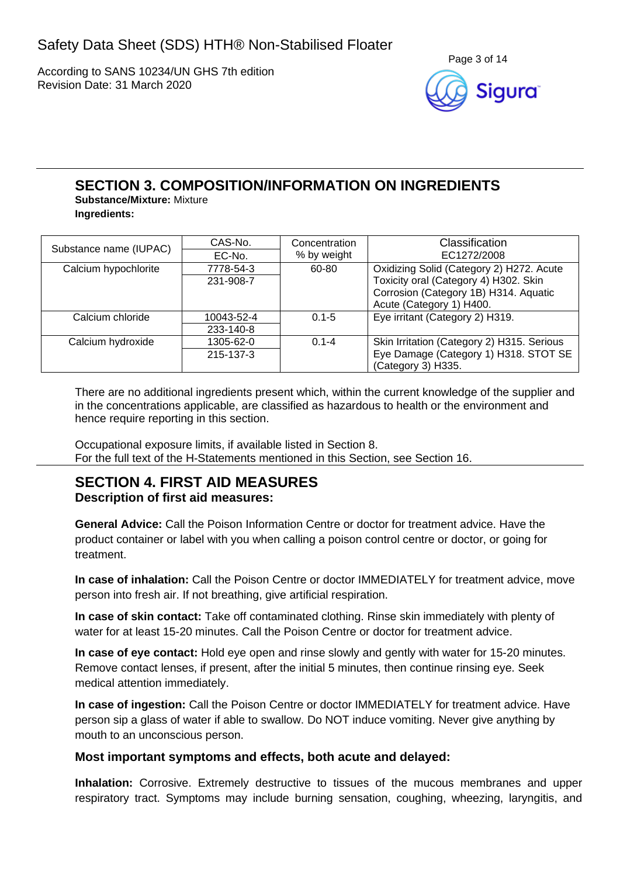According to SANS 10234/UN GHS 7th edition Revision Date: 31 March 2020



### **SECTION 3. COMPOSITION/INFORMATION ON INGREDIENTS Substance/Mixture:** Mixture

**Ingredients:**

|                        | CAS-No.    | Concentration | Classification                             |
|------------------------|------------|---------------|--------------------------------------------|
| Substance name (IUPAC) | EC-No.     | % by weight   | EC1272/2008                                |
| Calcium hypochlorite   | 7778-54-3  | 60-80         | Oxidizing Solid (Category 2) H272. Acute   |
|                        | 231-908-7  |               | Toxicity oral (Category 4) H302. Skin      |
|                        |            |               | Corrosion (Category 1B) H314. Aquatic      |
|                        |            |               | Acute (Category 1) H400.                   |
| Calcium chloride       | 10043-52-4 | $0.1 - 5$     | Eye irritant (Category 2) H319.            |
|                        | 233-140-8  |               |                                            |
| Calcium hydroxide      | 1305-62-0  | $0.1 - 4$     | Skin Irritation (Category 2) H315. Serious |
|                        | 215-137-3  |               | Eye Damage (Category 1) H318. STOT SE      |
|                        |            |               | (Category 3) H335.                         |

There are no additional ingredients present which, within the current knowledge of the supplier and in the concentrations applicable, are classified as hazardous to health or the environment and hence require reporting in this section.

Occupational exposure limits, if available listed in Section 8. For the full text of the H-Statements mentioned in this Section, see Section 16.

### **SECTION 4. FIRST AID MEASURES Description of first aid measures:**

**General Advice:** Call the Poison Information Centre or doctor for treatment advice. Have the product container or label with you when calling a poison control centre or doctor, or going for treatment.

**In case of inhalation:** Call the Poison Centre or doctor IMMEDIATELY for treatment advice, move person into fresh air. If not breathing, give artificial respiration.

**In case of skin contact:** Take off contaminated clothing. Rinse skin immediately with plenty of water for at least 15-20 minutes. Call the Poison Centre or doctor for treatment advice.

**In case of eye contact:** Hold eye open and rinse slowly and gently with water for 15-20 minutes. Remove contact lenses, if present, after the initial 5 minutes, then continue rinsing eye. Seek medical attention immediately.

**In case of ingestion:** Call the Poison Centre or doctor IMMEDIATELY for treatment advice. Have person sip a glass of water if able to swallow. Do NOT induce vomiting. Never give anything by mouth to an unconscious person.

## **Most important symptoms and effects, both acute and delayed:**

**Inhalation:** Corrosive. Extremely destructive to tissues of the mucous membranes and upper respiratory tract. Symptoms may include burning sensation, coughing, wheezing, laryngitis, and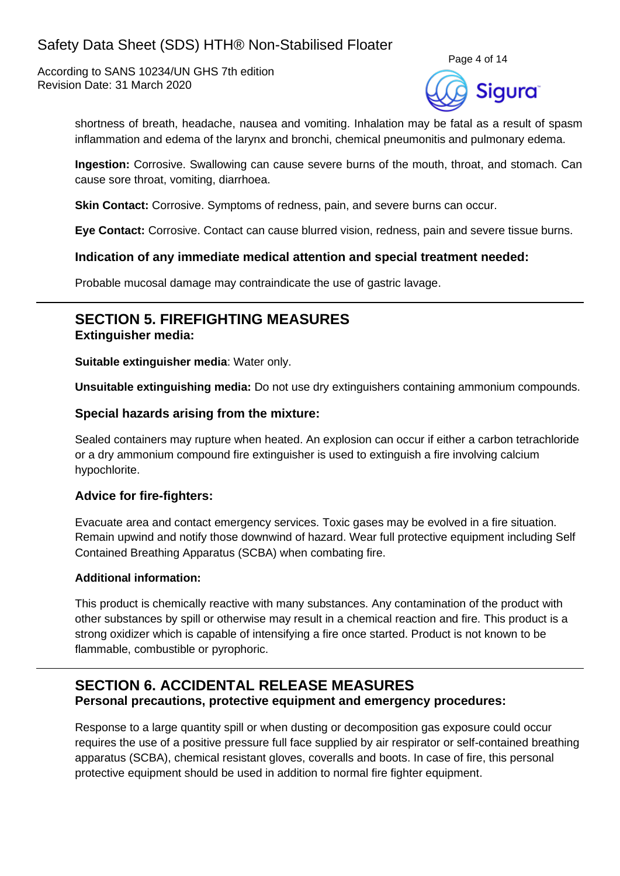According to SANS 10234/UN GHS 7th edition Revision Date: 31 March 2020



shortness of breath, headache, nausea and vomiting. Inhalation may be fatal as a result of spasm inflammation and edema of the larynx and bronchi, chemical pneumonitis and pulmonary edema.

**Ingestion:** Corrosive. Swallowing can cause severe burns of the mouth, throat, and stomach. Can cause sore throat, vomiting, diarrhoea.

**Skin Contact:** Corrosive. Symptoms of redness, pain, and severe burns can occur.

**Eye Contact:** Corrosive. Contact can cause blurred vision, redness, pain and severe tissue burns.

#### **Indication of any immediate medical attention and special treatment needed:**

Probable mucosal damage may contraindicate the use of gastric lavage.

### **SECTION 5. FIREFIGHTING MEASURES Extinguisher media:**

**Suitable extinguisher media**: Water only.

**Unsuitable extinguishing media:** Do not use dry extinguishers containing ammonium compounds.

#### **Special hazards arising from the mixture:**

Sealed containers may rupture when heated. An explosion can occur if either a carbon tetrachloride or a dry ammonium compound fire extinguisher is used to extinguish a fire involving calcium hypochlorite.

#### **Advice for fire-fighters:**

Evacuate area and contact emergency services. Toxic gases may be evolved in a fire situation. Remain upwind and notify those downwind of hazard. Wear full protective equipment including Self Contained Breathing Apparatus (SCBA) when combating fire.

#### **Additional information:**

This product is chemically reactive with many substances. Any contamination of the product with other substances by spill or otherwise may result in a chemical reaction and fire. This product is a strong oxidizer which is capable of intensifying a fire once started. Product is not known to be flammable, combustible or pyrophoric.

## **SECTION 6. ACCIDENTAL RELEASE MEASURES Personal precautions, protective equipment and emergency procedures:**

Response to a large quantity spill or when dusting or decomposition gas exposure could occur requires the use of a positive pressure full face supplied by air respirator or self-contained breathing apparatus (SCBA), chemical resistant gloves, coveralls and boots. In case of fire, this personal protective equipment should be used in addition to normal fire fighter equipment.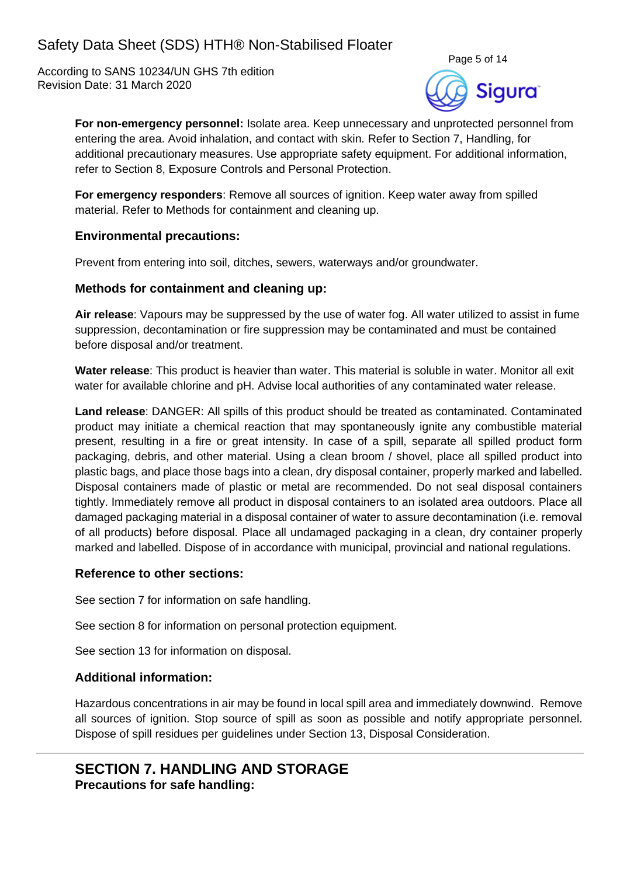According to SANS 10234/UN GHS 7th edition Revision Date: 31 March 2020



**For non-emergency personnel:** Isolate area. Keep unnecessary and unprotected personnel from entering the area. Avoid inhalation, and contact with skin. Refer to Section 7, Handling, for additional precautionary measures. Use appropriate safety equipment. For additional information, refer to Section 8, Exposure Controls and Personal Protection.

**For emergency responders**: Remove all sources of ignition. Keep water away from spilled material. Refer to Methods for containment and cleaning up.

### **Environmental precautions:**

Prevent from entering into soil, ditches, sewers, waterways and/or groundwater.

### **Methods for containment and cleaning up:**

**Air release**: Vapours may be suppressed by the use of water fog. All water utilized to assist in fume suppression, decontamination or fire suppression may be contaminated and must be contained before disposal and/or treatment.

**Water release**: This product is heavier than water. This material is soluble in water. Monitor all exit water for available chlorine and pH. Advise local authorities of any contaminated water release.

**Land release**: DANGER: All spills of this product should be treated as contaminated. Contaminated product may initiate a chemical reaction that may spontaneously ignite any combustible material present, resulting in a fire or great intensity. In case of a spill, separate all spilled product form packaging, debris, and other material. Using a clean broom / shovel, place all spilled product into plastic bags, and place those bags into a clean, dry disposal container, properly marked and labelled. Disposal containers made of plastic or metal are recommended. Do not seal disposal containers tightly. Immediately remove all product in disposal containers to an isolated area outdoors. Place all damaged packaging material in a disposal container of water to assure decontamination (i.e. removal of all products) before disposal. Place all undamaged packaging in a clean, dry container properly marked and labelled. Dispose of in accordance with municipal, provincial and national regulations.

### **Reference to other sections:**

See section 7 for information on safe handling.

See section 8 for information on personal protection equipment.

See section 13 for information on disposal.

### **Additional information:**

Hazardous concentrations in air may be found in local spill area and immediately downwind. Remove all sources of ignition. Stop source of spill as soon as possible and notify appropriate personnel. Dispose of spill residues per guidelines under Section 13, Disposal Consideration.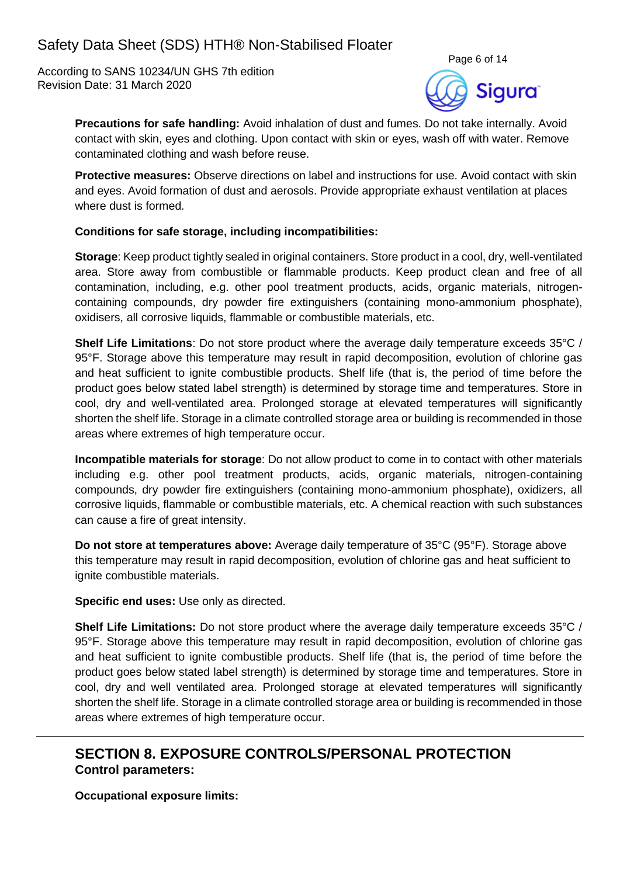According to SANS 10234/UN GHS 7th edition Revision Date: 31 March 2020



**Precautions for safe handling:** Avoid inhalation of dust and fumes. Do not take internally. Avoid contact with skin, eyes and clothing. Upon contact with skin or eyes, wash off with water. Remove contaminated clothing and wash before reuse.

**Protective measures:** Observe directions on label and instructions for use. Avoid contact with skin and eyes. Avoid formation of dust and aerosols. Provide appropriate exhaust ventilation at places where dust is formed.

### **Conditions for safe storage, including incompatibilities:**

**Storage**: Keep product tightly sealed in original containers. Store product in a cool, dry, well-ventilated area. Store away from combustible or flammable products. Keep product clean and free of all contamination, including, e.g. other pool treatment products, acids, organic materials, nitrogencontaining compounds, dry powder fire extinguishers (containing mono-ammonium phosphate), oxidisers, all corrosive liquids, flammable or combustible materials, etc.

**Shelf Life Limitations**: Do not store product where the average daily temperature exceeds 35°C / 95°F. Storage above this temperature may result in rapid decomposition, evolution of chlorine gas and heat sufficient to ignite combustible products. Shelf life (that is, the period of time before the product goes below stated label strength) is determined by storage time and temperatures. Store in cool, dry and well-ventilated area. Prolonged storage at elevated temperatures will significantly shorten the shelf life. Storage in a climate controlled storage area or building is recommended in those areas where extremes of high temperature occur.

**Incompatible materials for storage**: Do not allow product to come in to contact with other materials including e.g. other pool treatment products, acids, organic materials, nitrogen-containing compounds, dry powder fire extinguishers (containing mono-ammonium phosphate), oxidizers, all corrosive liquids, flammable or combustible materials, etc. A chemical reaction with such substances can cause a fire of great intensity.

**Do not store at temperatures above:** Average daily temperature of 35°C (95°F). Storage above this temperature may result in rapid decomposition, evolution of chlorine gas and heat sufficient to ignite combustible materials.

**Specific end uses:** Use only as directed.

**Shelf Life Limitations:** Do not store product where the average daily temperature exceeds 35°C / 95°F. Storage above this temperature may result in rapid decomposition, evolution of chlorine gas and heat sufficient to ignite combustible products. Shelf life (that is, the period of time before the product goes below stated label strength) is determined by storage time and temperatures. Store in cool, dry and well ventilated area. Prolonged storage at elevated temperatures will significantly shorten the shelf life. Storage in a climate controlled storage area or building is recommended in those areas where extremes of high temperature occur.

## **SECTION 8. EXPOSURE CONTROLS/PERSONAL PROTECTION Control parameters:**

**Occupational exposure limits:**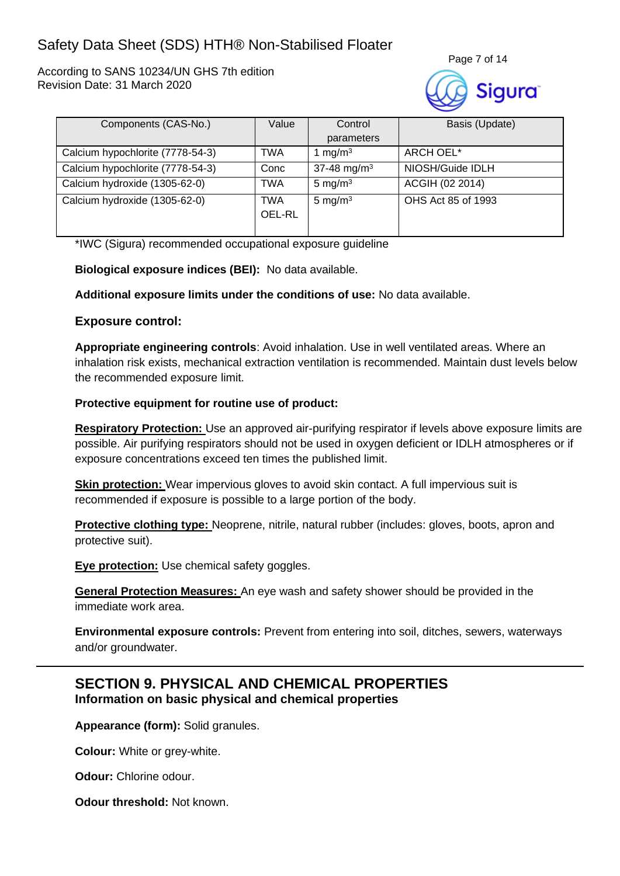According to SANS 10234/UN GHS 7th edition Revision Date: 31 March 2020



| Components (CAS-No.)             | Value         | Control                 | Basis (Update)     |
|----------------------------------|---------------|-------------------------|--------------------|
|                                  |               | parameters              |                    |
| Calcium hypochlorite (7778-54-3) | TWA           | 1 mg/m <sup>3</sup>     | ARCH OEL*          |
| Calcium hypochlorite (7778-54-3) | Conc          | 37-48 mg/m <sup>3</sup> | NIOSH/Guide IDLH   |
| Calcium hydroxide (1305-62-0)    | <b>TWA</b>    | 5 mg/m $3$              | ACGIH (02 2014)    |
| Calcium hydroxide (1305-62-0)    | TWA<br>OEL-RL | 5 mg/m $3$              | OHS Act 85 of 1993 |

\*IWC (Sigura) recommended occupational exposure guideline

**Biological exposure indices (BEI):** No data available.

**Additional exposure limits under the conditions of use:** No data available.

### **Exposure control:**

**Appropriate engineering controls**: Avoid inhalation. Use in well ventilated areas. Where an inhalation risk exists, mechanical extraction ventilation is recommended. Maintain dust levels below the recommended exposure limit.

### **Protective equipment for routine use of product:**

**Respiratory Protection:** Use an approved air-purifying respirator if levels above exposure limits are possible. Air purifying respirators should not be used in oxygen deficient or IDLH atmospheres or if exposure concentrations exceed ten times the published limit.

**Skin protection:** Wear impervious gloves to avoid skin contact. A full impervious suit is recommended if exposure is possible to a large portion of the body.

**Protective clothing type:** Neoprene, nitrile, natural rubber (includes: gloves, boots, apron and protective suit).

**Eye protection:** Use chemical safety goggles.

**General Protection Measures:** An eye wash and safety shower should be provided in the immediate work area.

**Environmental exposure controls:** Prevent from entering into soil, ditches, sewers, waterways and/or groundwater.

## **SECTION 9. PHYSICAL AND CHEMICAL PROPERTIES Information on basic physical and chemical properties**

**Appearance (form):** Solid granules.

**Colour:** White or grey-white.

**Odour:** Chlorine odour.

**Odour threshold:** Not known.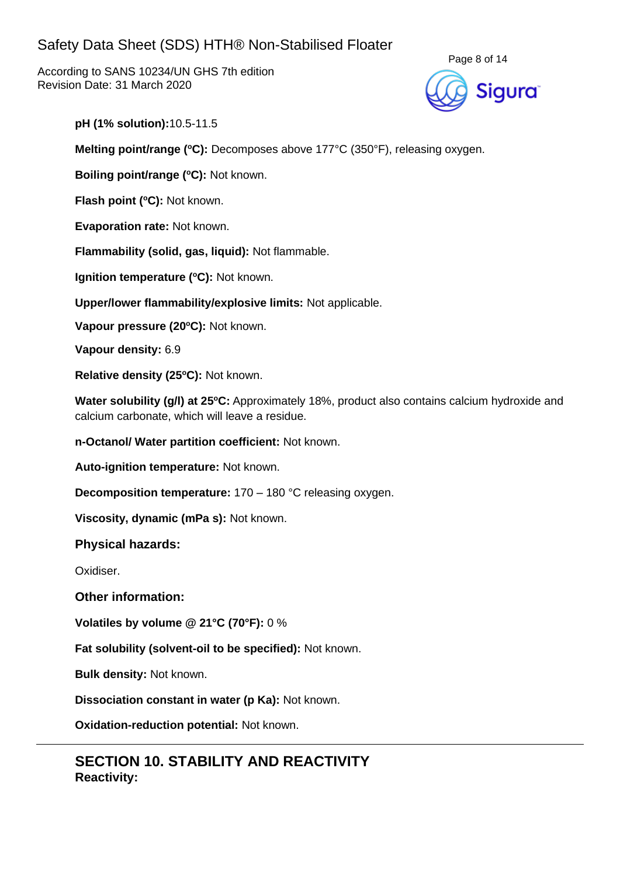According to SANS 10234/UN GHS 7th edition Revision Date: 31 March 2020



**pH (1% solution):**10.5-11.5

**Melting point/range (°C):** Decomposes above 177°C (350°F), releasing oxygen.

**Boiling point/range (<sup>o</sup>C):** Not known.

**Flash point (<sup>o</sup>C):** Not known.

**Evaporation rate:** Not known.

**Flammability (solid, gas, liquid):** Not flammable.

**Ignition temperature (°C):** Not known.

**Upper/lower flammability/explosive limits:** Not applicable.

**Vapour pressure (20<sup>o</sup>C):** Not known.

**Vapour density:** 6.9

**Relative density (25 <sup>o</sup>C):** Not known.

Water solubility (g/l) at 25°C: Approximately 18%, product also contains calcium hydroxide and calcium carbonate, which will leave a residue.

**n-Octanol/ Water partition coefficient:** Not known.

**Auto-ignition temperature:** Not known.

**Decomposition temperature:** 170 – 180 °C releasing oxygen.

**Viscosity, dynamic (mPa s):** Not known.

### **Physical hazards:**

Oxidiser.

**Other information:**

**Volatiles by volume @ 21°C (70°F):** 0 %

**Fat solubility (solvent-oil to be specified):** Not known.

**Bulk density:** Not known.

**Dissociation constant in water (p Ka):** Not known.

**Oxidation-reduction potential:** Not known.

## **SECTION 10. STABILITY AND REACTIVITY Reactivity:**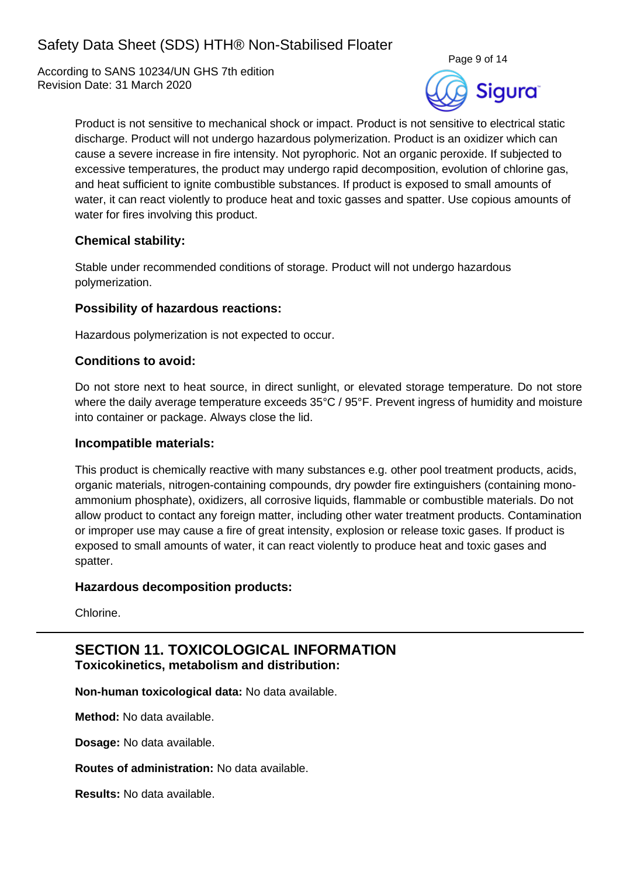According to SANS 10234/UN GHS 7th edition Revision Date: 31 March 2020



Product is not sensitive to mechanical shock or impact. Product is not sensitive to electrical static discharge. Product will not undergo hazardous polymerization. Product is an oxidizer which can cause a severe increase in fire intensity. Not pyrophoric. Not an organic peroxide. If subjected to excessive temperatures, the product may undergo rapid decomposition, evolution of chlorine gas, and heat sufficient to ignite combustible substances. If product is exposed to small amounts of water, it can react violently to produce heat and toxic gasses and spatter. Use copious amounts of water for fires involving this product.

## **Chemical stability:**

Stable under recommended conditions of storage. Product will not undergo hazardous polymerization.

### **Possibility of hazardous reactions:**

Hazardous polymerization is not expected to occur.

### **Conditions to avoid:**

Do not store next to heat source, in direct sunlight, or elevated storage temperature. Do not store where the daily average temperature exceeds 35°C / 95°F. Prevent ingress of humidity and moisture into container or package. Always close the lid.

### **Incompatible materials:**

This product is chemically reactive with many substances e.g. other pool treatment products, acids, organic materials, nitrogen-containing compounds, dry powder fire extinguishers (containing monoammonium phosphate), oxidizers, all corrosive liquids, flammable or combustible materials. Do not allow product to contact any foreign matter, including other water treatment products. Contamination or improper use may cause a fire of great intensity, explosion or release toxic gases. If product is exposed to small amounts of water, it can react violently to produce heat and toxic gases and spatter.

### **Hazardous decomposition products:**

Chlorine.

## **SECTION 11. TOXICOLOGICAL INFORMATION Toxicokinetics, metabolism and distribution:**

**Non-human toxicological data:** No data available.

**Method:** No data available.

**Dosage:** No data available.

**Routes of administration:** No data available.

**Results:** No data available.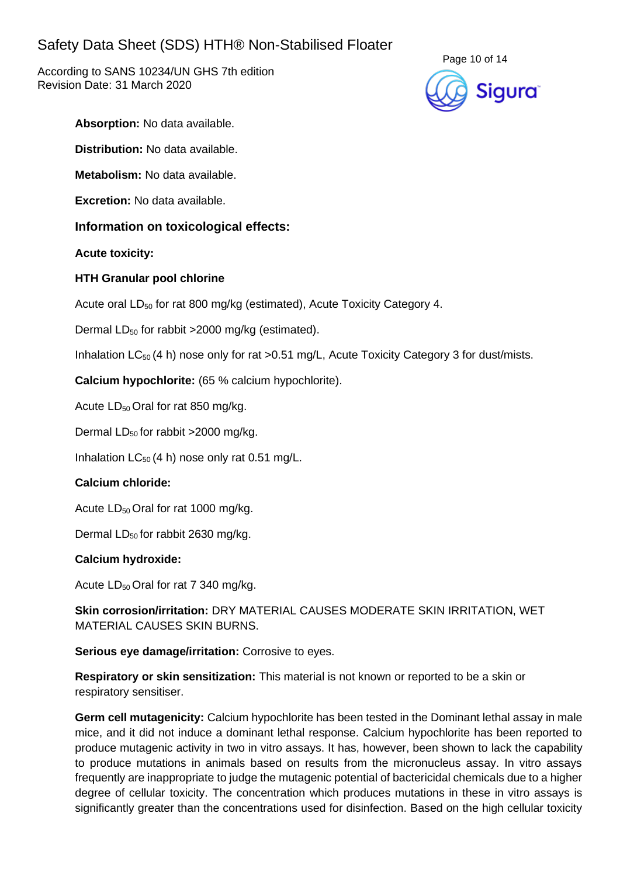According to SANS 10234/UN GHS 7th edition Revision Date: 31 March 2020



**Absorption:** No data available.

**Distribution:** No data available.

**Metabolism:** No data available.

**Excretion:** No data available.

### **Information on toxicological effects:**

**Acute toxicity:**

### **HTH Granular pool chlorine**

Acute oral LD<sub>50</sub> for rat 800 mg/kg (estimated), Acute Toxicity Category 4.

Dermal  $LD_{50}$  for rabbit >2000 mg/kg (estimated).

Inhalation  $LC_{50}$  (4 h) nose only for rat > 0.51 mg/L, Acute Toxicity Category 3 for dust/mists.

**Calcium hypochlorite:** (65 % calcium hypochlorite).

Acute LD<sub>50</sub> Oral for rat 850 mg/kg.

Dermal  $LD_{50}$  for rabbit >2000 mg/kg.

Inhalation  $LC_{50}$  (4 h) nose only rat 0.51 mg/L.

### **Calcium chloride:**

Acute  $LD_{50}$  Oral for rat 1000 mg/kg.

Dermal  $LD_{50}$  for rabbit 2630 mg/kg.

#### **Calcium hydroxide:**

Acute  $LD_{50}$  Oral for rat 7 340 mg/kg.

**Skin corrosion/irritation:** DRY MATERIAL CAUSES MODERATE SKIN IRRITATION, WET MATERIAL CAUSES SKIN BURNS.

**Serious eye damage/irritation:** Corrosive to eyes.

**Respiratory or skin sensitization:** This material is not known or reported to be a skin or respiratory sensitiser.

**Germ cell mutagenicity:** Calcium hypochlorite has been tested in the Dominant lethal assay in male mice, and it did not induce a dominant lethal response. Calcium hypochlorite has been reported to produce mutagenic activity in two in vitro assays. It has, however, been shown to lack the capability to produce mutations in animals based on results from the micronucleus assay. In vitro assays frequently are inappropriate to judge the mutagenic potential of bactericidal chemicals due to a higher degree of cellular toxicity. The concentration which produces mutations in these in vitro assays is significantly greater than the concentrations used for disinfection. Based on the high cellular toxicity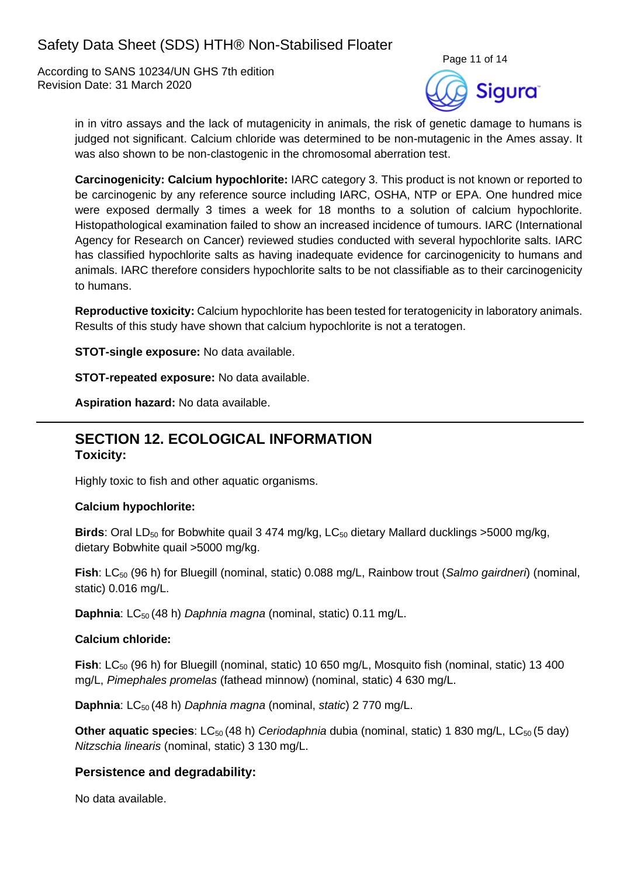According to SANS 10234/UN GHS 7th edition Revision Date: 31 March 2020



in in vitro assays and the lack of mutagenicity in animals, the risk of genetic damage to humans is judged not significant. Calcium chloride was determined to be non-mutagenic in the Ames assay. It was also shown to be non-clastogenic in the chromosomal aberration test.

**Carcinogenicity: Calcium hypochlorite:** IARC category 3. This product is not known or reported to be carcinogenic by any reference source including IARC, OSHA, NTP or EPA. One hundred mice were exposed dermally 3 times a week for 18 months to a solution of calcium hypochlorite. Histopathological examination failed to show an increased incidence of tumours. IARC (International Agency for Research on Cancer) reviewed studies conducted with several hypochlorite salts. IARC has classified hypochlorite salts as having inadequate evidence for carcinogenicity to humans and animals. IARC therefore considers hypochlorite salts to be not classifiable as to their carcinogenicity to humans.

**Reproductive toxicity:** Calcium hypochlorite has been tested for teratogenicity in laboratory animals. Results of this study have shown that calcium hypochlorite is not a teratogen.

**STOT-single exposure:** No data available.

**STOT-repeated exposure:** No data available.

**Aspiration hazard:** No data available.

## **SECTION 12. ECOLOGICAL INFORMATION Toxicity:**

Highly toxic to fish and other aquatic organisms.

#### **Calcium hypochlorite:**

**Birds**: Oral LD<sub>50</sub> for Bobwhite quail 3 474 mg/kg, LC<sub>50</sub> dietary Mallard ducklings >5000 mg/kg, dietary Bobwhite quail >5000 mg/kg.

**Fish**: LC<sub>50</sub> (96 h) for Bluegill (nominal, static) 0.088 mg/L, Rainbow trout (*Salmo gairdneri*) (nominal, static) 0.016 mg/L.

**Daphnia**: LC<sub>50</sub> (48 h) *Daphnia magna* (nominal, static) 0.11 mg/L.

#### **Calcium chloride:**

**Fish**: LC<sub>50</sub> (96 h) for Bluegill (nominal, static) 10 650 mg/L, Mosquito fish (nominal, static) 13 400 mg/L, *Pimephales promelas* (fathead minnow) (nominal, static) 4 630 mg/L.

**Daphnia**: LC<sub>50</sub> (48 h) *Daphnia magna* (nominal, *static*) 2 770 mg/L.

**Other aquatic species**: LC<sub>50</sub> (48 h) *Ceriodaphnia* dubia (nominal, static) 1 830 mg/L, LC<sub>50</sub> (5 day) *Nitzschia linearis* (nominal, static) 3 130 mg/L.

## **Persistence and degradability:**

No data available.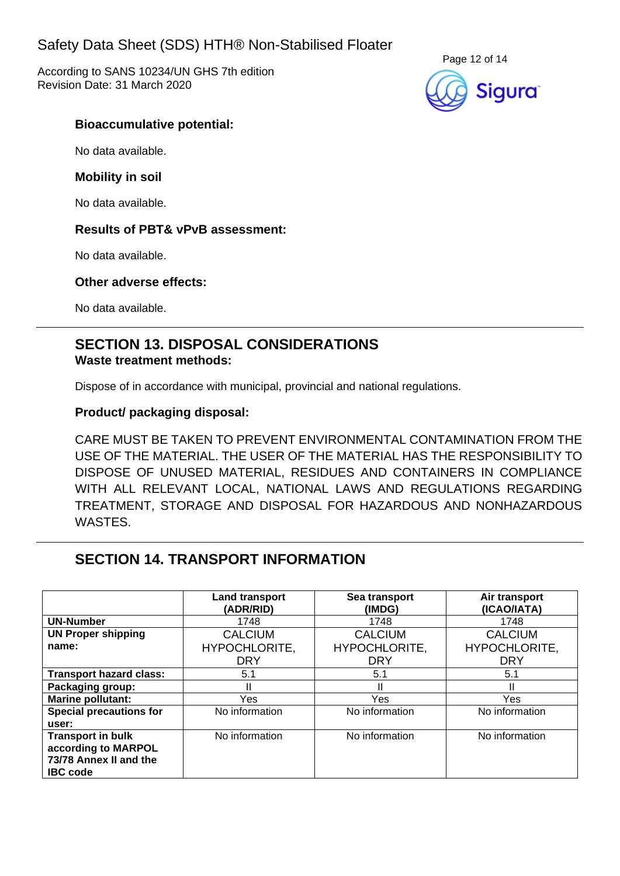According to SANS 10234/UN GHS 7th edition Revision Date: 31 March 2020



### **Bioaccumulative potential:**

No data available.

### **Mobility in soil**

No data available.

### **Results of PBT& vPvB assessment:**

No data available.

### **Other adverse effects:**

No data available.

## **SECTION 13. DISPOSAL CONSIDERATIONS Waste treatment methods:**

Dispose of in accordance with municipal, provincial and national regulations.

### **Product/ packaging disposal:**

CARE MUST BE TAKEN TO PREVENT ENVIRONMENTAL CONTAMINATION FROM THE USE OF THE MATERIAL. THE USER OF THE MATERIAL HAS THE RESPONSIBILITY TO DISPOSE OF UNUSED MATERIAL, RESIDUES AND CONTAINERS IN COMPLIANCE WITH ALL RELEVANT LOCAL, NATIONAL LAWS AND REGULATIONS REGARDING TREATMENT, STORAGE AND DISPOSAL FOR HAZARDOUS AND NONHAZARDOUS WASTES.

## **SECTION 14. TRANSPORT INFORMATION**

|                                                                                              | Land transport<br>(ADR/RID) | Sea transport<br>(IMDG) | Air transport<br>(ICAO/IATA) |
|----------------------------------------------------------------------------------------------|-----------------------------|-------------------------|------------------------------|
| <b>UN-Number</b>                                                                             | 1748                        | 1748                    | 1748                         |
| <b>UN Proper shipping</b>                                                                    | <b>CALCIUM</b>              | <b>CALCIUM</b>          | <b>CALCIUM</b>               |
| name:                                                                                        | HYPOCHLORITE,               | <b>HYPOCHLORITE,</b>    | HYPOCHLORITE,                |
|                                                                                              | <b>DRY</b>                  | <b>DRY</b>              | <b>DRY</b>                   |
| <b>Transport hazard class:</b>                                                               | 5.1                         | 5.1                     | 5.1                          |
| Packaging group:                                                                             |                             |                         |                              |
| <b>Marine pollutant:</b>                                                                     | Yes                         | Yes                     | Yes                          |
| <b>Special precautions for</b><br>user:                                                      | No information              | No information          | No information               |
| <b>Transport in bulk</b><br>according to MARPOL<br>73/78 Annex II and the<br><b>IBC</b> code | No information              | No information          | No information               |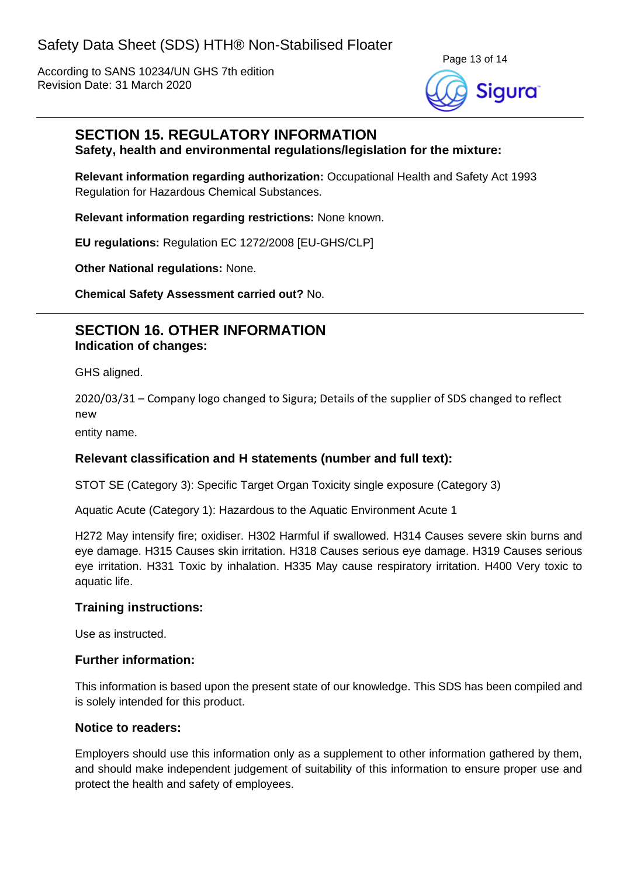According to SANS 10234/UN GHS 7th edition Revision Date: 31 March 2020



### **SECTION 15. REGULATORY INFORMATION Safety, health and environmental regulations/legislation for the mixture:**

**Relevant information regarding authorization:** Occupational Health and Safety Act 1993 Regulation for Hazardous Chemical Substances.

**Relevant information regarding restrictions:** None known.

**EU regulations:** Regulation EC 1272/2008 [EU-GHS/CLP]

**Other National regulations:** None.

**Chemical Safety Assessment carried out?** No.

## **SECTION 16. OTHER INFORMATION Indication of changes:**

GHS aligned.

2020/03/31 – Company logo changed to Sigura; Details of the supplier of SDS changed to reflect new

entity name.

### **Relevant classification and H statements (number and full text):**

STOT SE (Category 3): Specific Target Organ Toxicity single exposure (Category 3)

Aquatic Acute (Category 1): Hazardous to the Aquatic Environment Acute 1

H272 May intensify fire; oxidiser. H302 Harmful if swallowed. H314 Causes severe skin burns and eye damage. H315 Causes skin irritation. H318 Causes serious eye damage. H319 Causes serious eye irritation. H331 Toxic by inhalation. H335 May cause respiratory irritation. H400 Very toxic to aquatic life.

### **Training instructions:**

Use as instructed.

#### **Further information:**

This information is based upon the present state of our knowledge. This SDS has been compiled and is solely intended for this product.

#### **Notice to readers:**

Employers should use this information only as a supplement to other information gathered by them, and should make independent judgement of suitability of this information to ensure proper use and protect the health and safety of employees.